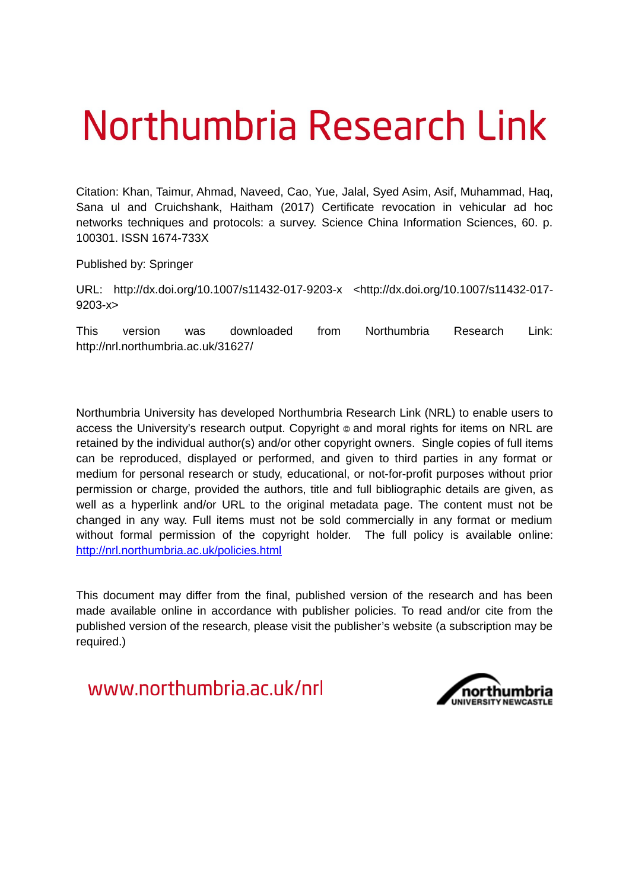# Northumbria Research Link

Citation: Khan, Taimur, Ahmad, Naveed, Cao, Yue, Jalal, Syed Asim, Asif, Muhammad, Haq, Sana ul and Cruichshank, Haitham (2017) Certificate revocation in vehicular ad hoc networks techniques and protocols: a survey. Science China Information Sciences, 60. p. 100301. ISSN 1674-733X

Published by: Springer

URL: http://dx.doi.org/10.1007/s11432-017-9203-x <http://dx.doi.org/10.1007/s11432-017- 9203-x>

This version was downloaded from Northumbria Research Link: http://nrl.northumbria.ac.uk/31627/

Northumbria University has developed Northumbria Research Link (NRL) to enable users to access the University's research output. Copyright  $\circ$  and moral rights for items on NRL are retained by the individual author(s) and/or other copyright owners. Single copies of full items can be reproduced, displayed or performed, and given to third parties in any format or medium for personal research or study, educational, or not-for-profit purposes without prior permission or charge, provided the authors, title and full bibliographic details are given, as well as a hyperlink and/or URL to the original metadata page. The content must not be changed in any way. Full items must not be sold commercially in any format or medium without formal permission of the copyright holder. The full policy is available online: <http://nrl.northumbria.ac.uk/policies.html>

This document may differ from the final, published version of the research and has been made available online in accordance with publisher policies. To read and/or cite from the published version of the research, please visit the publisher's website (a subscription may be required.)

www.northumbria.ac.uk/nrl

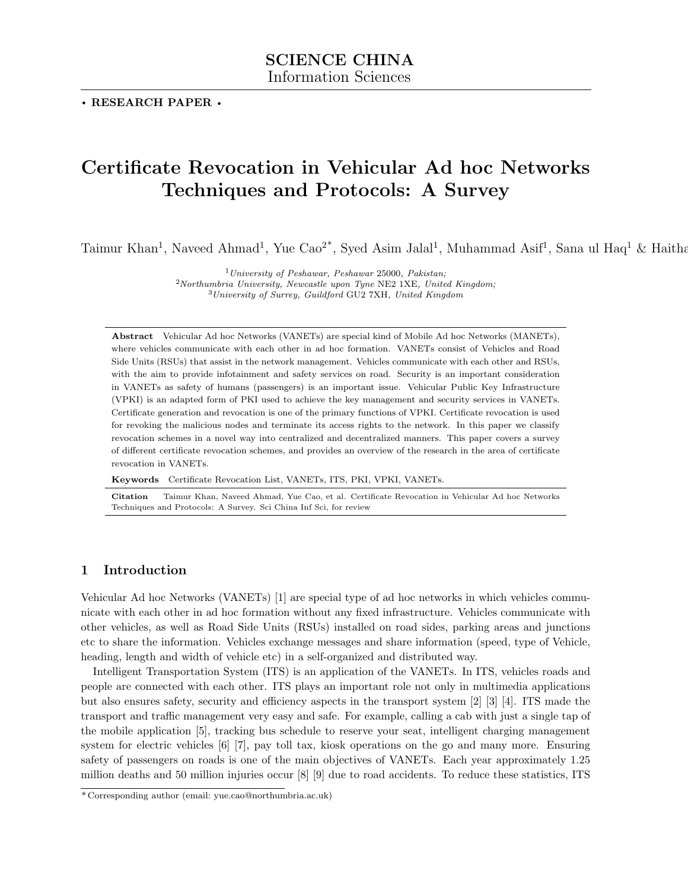. RESEARCH PAPER .

# Certificate Revocation in Vehicular Ad hoc Networks Techniques and Protocols: A Survey

Taimur Khan<sup>1</sup>, Naveed Ahmad<sup>1</sup>, Yue Cao<sup>2\*</sup>, Syed Asim Jalal<sup>1</sup>, Muhammad Asif<sup>1</sup>, Sana ul Haq<sup>1</sup> & Haitha

 $1$ University of Peshawar, Peshawar 25000, Pakistan;

 $2$ Northumbria University, Newcastle upon Tyne NE2 1XE, United Kingdom;  $3$ University of Surrey, Guildford GU2 7XH, United Kingdom

Abstract Vehicular Ad hoc Networks (VANETs) are special kind of Mobile Ad hoc Networks (MANETs), where vehicles communicate with each other in ad hoc formation. VANETs consist of Vehicles and Road Side Units (RSUs) that assist in the network management. Vehicles communicate with each other and RSUs, with the aim to provide infotainment and safety services on road. Security is an important consideration in VANETs as safety of humans (passengers) is an important issue. Vehicular Public Key Infrastructure (VPKI) is an adapted form of PKI used to achieve the key management and security services in VANETs. Certificate generation and revocation is one of the primary functions of VPKI. Certificate revocation is used for revoking the malicious nodes and terminate its access rights to the network. In this paper we classify revocation schemes in a novel way into centralized and decentralized manners. This paper covers a survey of different certificate revocation schemes, and provides an overview of the research in the area of certificate revocation in VANETs.

Keywords Certificate Revocation List, VANETs, ITS, PKI, VPKI, VANETs.

Citation Taimur Khan, Naveed Ahmad, Yue Cao, et al. Certificate Revocation in Vehicular Ad hoc Networks Techniques and Protocols: A Survey. Sci China Inf Sci, for review

# 1 Introduction

Vehicular Ad hoc Networks (VANETs) [\[1\]](#page-14-0) are special type of ad hoc networks in which vehicles communicate with each other in ad hoc formation without any fixed infrastructure. Vehicles communicate with other vehicles, as well as Road Side Units (RSUs) installed on road sides, parking areas and junctions etc to share the information. Vehicles exchange messages and share information (speed, type of Vehicle, heading, length and width of vehicle etc) in a self-organized and distributed way.

Intelligent Transportation System (ITS) is an application of the VANETs. In ITS, vehicles roads and people are connected with each other. ITS plays an important role not only in multimedia applications but also ensures safety, security and efficiency aspects in the transport system [\[2\]](#page-15-0) [\[3\]](#page-15-1) [\[4\]](#page-15-2). ITS made the transport and traffic management very easy and safe. For example, calling a cab with just a single tap of the mobile application [\[5\]](#page-15-3), tracking bus schedule to reserve your seat, intelligent charging management system for electric vehicles [\[6\]](#page-15-4) [\[7\]](#page-15-5), pay toll tax, kiosk operations on the go and many more. Ensuring safety of passengers on roads is one of the main objectives of VANETs. Each year approximately 1.25 million deaths and 50 million injuries occur [\[8\]](#page-15-6) [\[9\]](#page-15-7) due to road accidents. To reduce these statistics, ITS

<sup>\*</sup> Corresponding author (email: yue.cao@northumbria.ac.uk)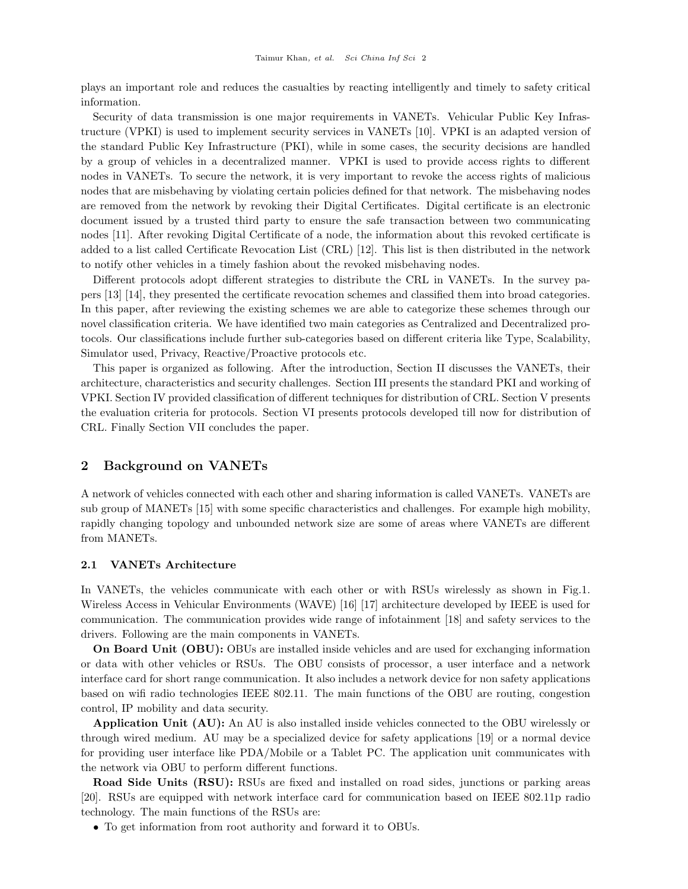plays an important role and reduces the casualties by reacting intelligently and timely to safety critical information.

Security of data transmission is one major requirements in VANETs. Vehicular Public Key Infrastructure (VPKI) is used to implement security services in VANETs [\[10\]](#page-15-8). VPKI is an adapted version of the standard Public Key Infrastructure (PKI), while in some cases, the security decisions are handled by a group of vehicles in a decentralized manner. VPKI is used to provide access rights to different nodes in VANETs. To secure the network, it is very important to revoke the access rights of malicious nodes that are misbehaving by violating certain policies defined for that network. The misbehaving nodes are removed from the network by revoking their Digital Certificates. Digital certificate is an electronic document issued by a trusted third party to ensure the safe transaction between two communicating nodes [\[11\]](#page-15-9). After revoking Digital Certificate of a node, the information about this revoked certificate is added to a list called Certificate Revocation List (CRL) [\[12\]](#page-15-10). This list is then distributed in the network to notify other vehicles in a timely fashion about the revoked misbehaving nodes.

Different protocols adopt different strategies to distribute the CRL in VANETs. In the survey papers [\[13\]](#page-15-11) [\[14\]](#page-15-12), they presented the certificate revocation schemes and classified them into broad categories. In this paper, after reviewing the existing schemes we are able to categorize these schemes through our novel classification criteria. We have identified two main categories as Centralized and Decentralized protocols. Our classifications include further sub-categories based on different criteria like Type, Scalability, Simulator used, Privacy, Reactive/Proactive protocols etc.

This paper is organized as following. After the introduction, Section II discusses the VANETs, their architecture, characteristics and security challenges. Section III presents the standard PKI and working of VPKI. Section IV provided classification of different techniques for distribution of CRL. Section V presents the evaluation criteria for protocols. Section VI presents protocols developed till now for distribution of CRL. Finally Section VII concludes the paper.

# 2 Background on VANETs

A network of vehicles connected with each other and sharing information is called VANETs. VANETs are sub group of MANETs [\[15\]](#page-15-13) with some specific characteristics and challenges. For example high mobility, rapidly changing topology and unbounded network size are some of areas where VANETs are different from MANETs.

#### 2.1 VANETs Architecture

In VANETs, the vehicles communicate with each other or with RSUs wirelessly as shown in Fig[.1.](#page-4-0) Wireless Access in Vehicular Environments (WAVE) [\[16\]](#page-15-14) [\[17\]](#page-15-15) architecture developed by IEEE is used for communication. The communication provides wide range of infotainment [\[18\]](#page-15-16) and safety services to the drivers. Following are the main components in VANETs.

On Board Unit (OBU): OBUs are installed inside vehicles and are used for exchanging information or data with other vehicles or RSUs. The OBU consists of processor, a user interface and a network interface card for short range communication. It also includes a network device for non safety applications based on wifi radio technologies IEEE 802.11. The main functions of the OBU are routing, congestion control, IP mobility and data security.

Application Unit (AU): An AU is also installed inside vehicles connected to the OBU wirelessly or through wired medium. AU may be a specialized device for safety applications [\[19\]](#page-15-17) or a normal device for providing user interface like PDA/Mobile or a Tablet PC. The application unit communicates with the network via OBU to perform different functions.

Road Side Units (RSU): RSUs are fixed and installed on road sides, junctions or parking areas [\[20\]](#page-15-18). RSUs are equipped with network interface card for communication based on IEEE 802.11p radio technology. The main functions of the RSUs are:

• To get information from root authority and forward it to OBUs.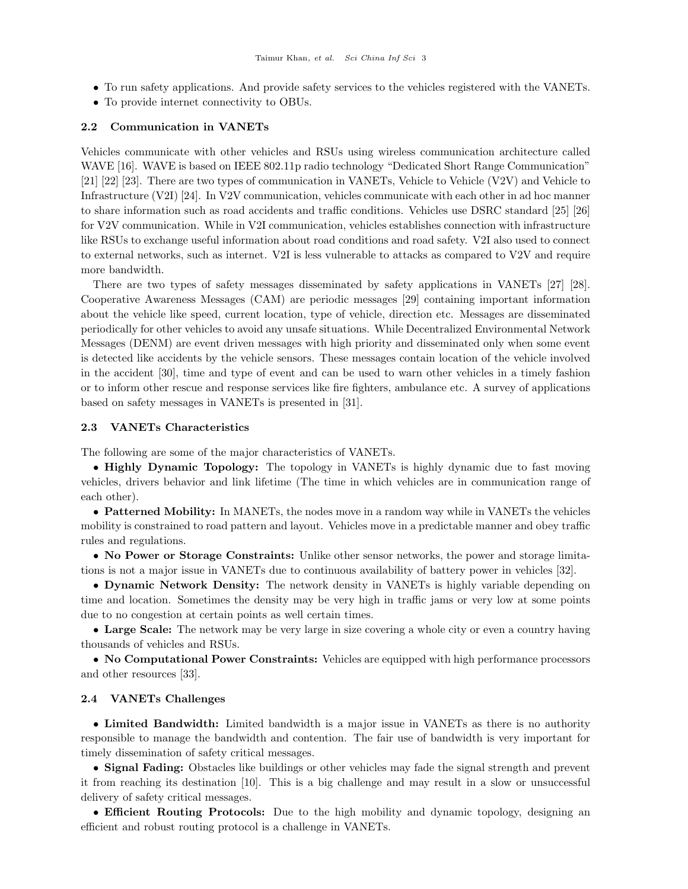- To run safety applications. And provide safety services to the vehicles registered with the VANETs.
- To provide internet connectivity to OBUs.

#### 2.2 Communication in VANETs

Vehicles communicate with other vehicles and RSUs using wireless communication architecture called WAVE [\[16\]](#page-15-14). WAVE is based on IEEE 802.11p radio technology "Dedicated Short Range Communication" [\[21\]](#page-15-19) [\[22\]](#page-15-20) [\[23\]](#page-15-21). There are two types of communication in VANETs, Vehicle to Vehicle (V2V) and Vehicle to Infrastructure (V2I) [\[24\]](#page-15-22). In V2V communication, vehicles communicate with each other in ad hoc manner to share information such as road accidents and traffic conditions. Vehicles use DSRC standard [\[25\]](#page-15-23) [\[26\]](#page-15-24) for V2V communication. While in V2I communication, vehicles establishes connection with infrastructure like RSUs to exchange useful information about road conditions and road safety. V2I also used to connect to external networks, such as internet. V2I is less vulnerable to attacks as compared to V2V and require more bandwidth.

There are two types of safety messages disseminated by safety applications in VANETs [\[27\]](#page-15-25) [\[28\]](#page-15-26). Cooperative Awareness Messages (CAM) are periodic messages [\[29\]](#page-15-27) containing important information about the vehicle like speed, current location, type of vehicle, direction etc. Messages are disseminated periodically for other vehicles to avoid any unsafe situations. While Decentralized Environmental Network Messages (DENM) are event driven messages with high priority and disseminated only when some event is detected like accidents by the vehicle sensors. These messages contain location of the vehicle involved in the accident [\[30\]](#page-15-28), time and type of event and can be used to warn other vehicles in a timely fashion or to inform other rescue and response services like fire fighters, ambulance etc. A survey of applications based on safety messages in VANETs is presented in [\[31\]](#page-15-29).

#### 2.3 VANETs Characteristics

The following are some of the major characteristics of VANETs.

• Highly Dynamic Topology: The topology in VANETs is highly dynamic due to fast moving vehicles, drivers behavior and link lifetime (The time in which vehicles are in communication range of each other).

• Patterned Mobility: In MANETs, the nodes move in a random way while in VANETs the vehicles mobility is constrained to road pattern and layout. Vehicles move in a predictable manner and obey traffic rules and regulations.

• No Power or Storage Constraints: Unlike other sensor networks, the power and storage limitations is not a major issue in VANETs due to continuous availability of battery power in vehicles [\[32\]](#page-15-30).

• Dynamic Network Density: The network density in VANETs is highly variable depending on time and location. Sometimes the density may be very high in traffic jams or very low at some points due to no congestion at certain points as well certain times.

• Large Scale: The network may be very large in size covering a whole city or even a country having thousands of vehicles and RSUs.

• No Computational Power Constraints: Vehicles are equipped with high performance processors and other resources [\[33\]](#page-15-31).

#### 2.4 VANETs Challenges

• Limited Bandwidth: Limited bandwidth is a major issue in VANETs as there is no authority responsible to manage the bandwidth and contention. The fair use of bandwidth is very important for timely dissemination of safety critical messages.

• Signal Fading: Obstacles like buildings or other vehicles may fade the signal strength and prevent it from reaching its destination [\[10\]](#page-15-8). This is a big challenge and may result in a slow or unsuccessful delivery of safety critical messages.

• Efficient Routing Protocols: Due to the high mobility and dynamic topology, designing an efficient and robust routing protocol is a challenge in VANETs.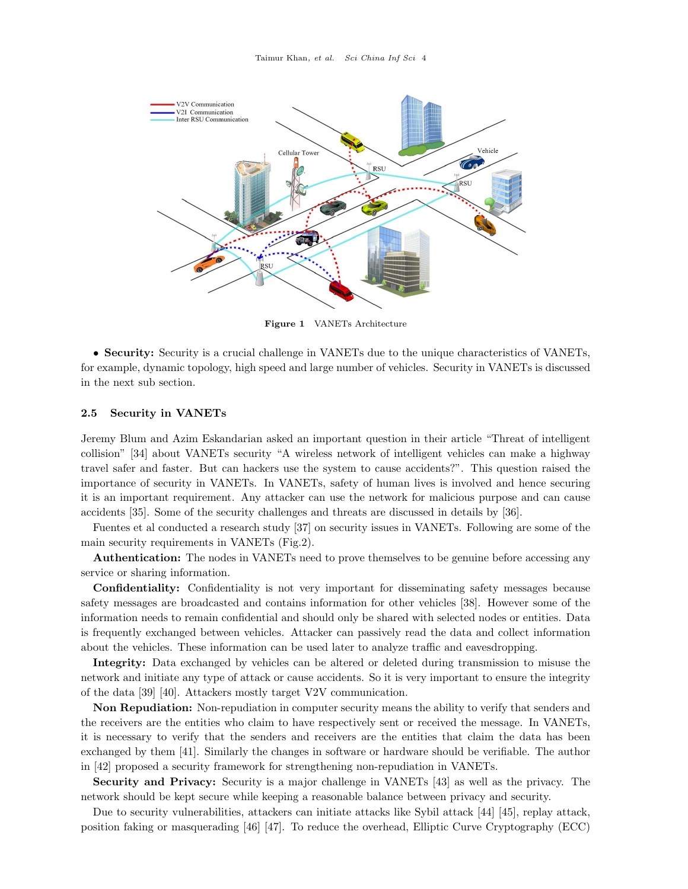<span id="page-4-0"></span>

Figure 1 VANETs Architecture

• Security: Security is a crucial challenge in VANETs due to the unique characteristics of VANETs, for example, dynamic topology, high speed and large number of vehicles. Security in VANETs is discussed in the next sub section.

#### 2.5 Security in VANETs

Jeremy Blum and Azim Eskandarian asked an important question in their article "Threat of intelligent collision" [\[34\]](#page-15-32) about VANETs security "A wireless network of intelligent vehicles can make a highway travel safer and faster. But can hackers use the system to cause accidents?". This question raised the importance of security in VANETs. In VANETs, safety of human lives is involved and hence securing it is an important requirement. Any attacker can use the network for malicious purpose and can cause accidents [\[35\]](#page-15-33). Some of the security challenges and threats are discussed in details by [\[36\]](#page-15-34).

Fuentes et al conducted a research study [\[37\]](#page-16-0) on security issues in VANETs. Following are some of the main security requirements in VANETs (Fig[.2\)](#page-5-0).

Authentication: The nodes in VANETs need to prove themselves to be genuine before accessing any service or sharing information.

Confidentiality: Confidentiality is not very important for disseminating safety messages because safety messages are broadcasted and contains information for other vehicles [\[38\]](#page-16-1). However some of the information needs to remain confidential and should only be shared with selected nodes or entities. Data is frequently exchanged between vehicles. Attacker can passively read the data and collect information about the vehicles. These information can be used later to analyze traffic and eavesdropping.

Integrity: Data exchanged by vehicles can be altered or deleted during transmission to misuse the network and initiate any type of attack or cause accidents. So it is very important to ensure the integrity of the data [\[39\]](#page-16-2) [\[40\]](#page-16-3). Attackers mostly target V2V communication.

Non Repudiation: Non-repudiation in computer security means the ability to verify that senders and the receivers are the entities who claim to have respectively sent or received the message. In VANETs, it is necessary to verify that the senders and receivers are the entities that claim the data has been exchanged by them [\[41\]](#page-16-4). Similarly the changes in software or hardware should be verifiable. The author in [\[42\]](#page-16-5) proposed a security framework for strengthening non-repudiation in VANETs.

Security and Privacy: Security is a major challenge in VANETs [\[43\]](#page-16-6) as well as the privacy. The network should be kept secure while keeping a reasonable balance between privacy and security.

Due to security vulnerabilities, attackers can initiate attacks like Sybil attack [\[44\]](#page-16-7) [\[45\]](#page-16-8), replay attack, position faking or masquerading [\[46\]](#page-16-9) [\[47\]](#page-16-10). To reduce the overhead, Elliptic Curve Cryptography (ECC)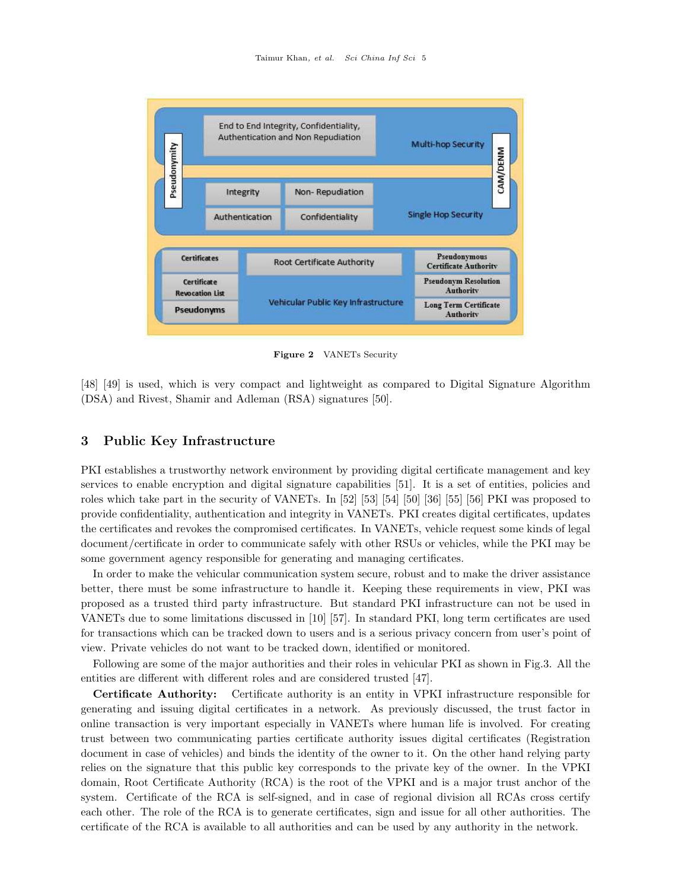<span id="page-5-0"></span>

Figure 2 VANETs Security

[\[48\]](#page-16-11) [\[49\]](#page-16-12) is used, which is very compact and lightweight as compared to Digital Signature Algorithm (DSA) and Rivest, Shamir and Adleman (RSA) signatures [\[50\]](#page-16-13).

# 3 Public Key Infrastructure

PKI establishes a trustworthy network environment by providing digital certificate management and key services to enable encryption and digital signature capabilities [\[51\]](#page-16-14). It is a set of entities, policies and roles which take part in the security of VANETs. In [\[52\]](#page-16-15) [\[53\]](#page-16-16) [\[54\]](#page-16-17) [\[50\]](#page-16-13) [\[36\]](#page-15-34) [\[55\]](#page-16-18) [\[56\]](#page-16-19) PKI was proposed to provide confidentiality, authentication and integrity in VANETs. PKI creates digital certificates, updates the certificates and revokes the compromised certificates. In VANETs, vehicle request some kinds of legal document/certificate in order to communicate safely with other RSUs or vehicles, while the PKI may be some government agency responsible for generating and managing certificates.

In order to make the vehicular communication system secure, robust and to make the driver assistance better, there must be some infrastructure to handle it. Keeping these requirements in view, PKI was proposed as a trusted third party infrastructure. But standard PKI infrastructure can not be used in VANETs due to some limitations discussed in [\[10\]](#page-15-8) [\[57\]](#page-16-20). In standard PKI, long term certificates are used for transactions which can be tracked down to users and is a serious privacy concern from user's point of view. Private vehicles do not want to be tracked down, identified or monitored.

Following are some of the major authorities and their roles in vehicular PKI as shown in Fig[.3.](#page-7-0) All the entities are different with different roles and are considered trusted [\[47\]](#page-16-10).

Certificate Authority: Certificate authority is an entity in VPKI infrastructure responsible for generating and issuing digital certificates in a network. As previously discussed, the trust factor in online transaction is very important especially in VANETs where human life is involved. For creating trust between two communicating parties certificate authority issues digital certificates (Registration document in case of vehicles) and binds the identity of the owner to it. On the other hand relying party relies on the signature that this public key corresponds to the private key of the owner. In the VPKI domain, Root Certificate Authority (RCA) is the root of the VPKI and is a major trust anchor of the system. Certificate of the RCA is self-signed, and in case of regional division all RCAs cross certify each other. The role of the RCA is to generate certificates, sign and issue for all other authorities. The certificate of the RCA is available to all authorities and can be used by any authority in the network.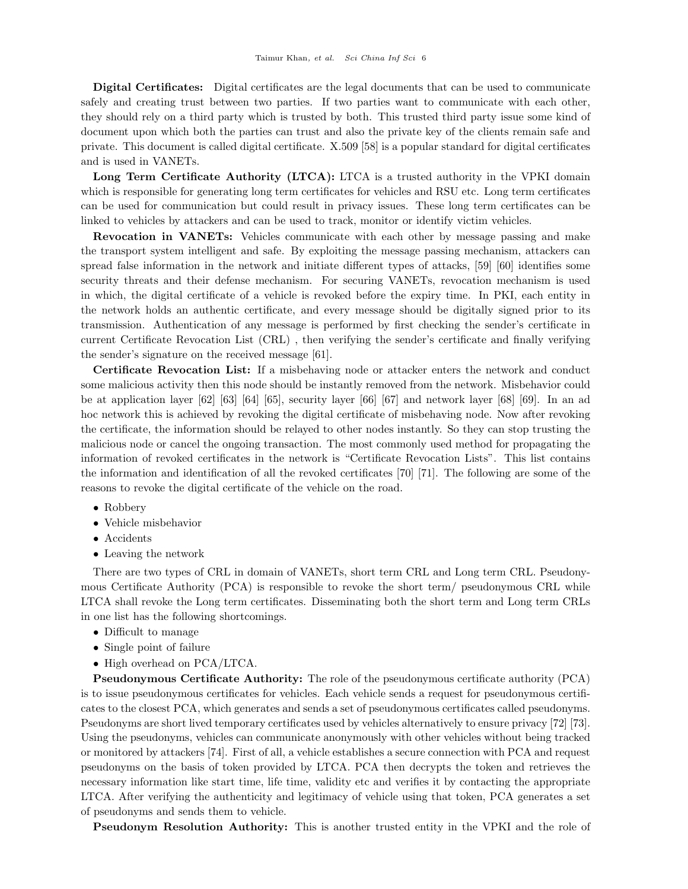Digital Certificates: Digital certificates are the legal documents that can be used to communicate safely and creating trust between two parties. If two parties want to communicate with each other, they should rely on a third party which is trusted by both. This trusted third party issue some kind of document upon which both the parties can trust and also the private key of the clients remain safe and private. This document is called digital certificate. X.509 [\[58\]](#page-16-21) is a popular standard for digital certificates and is used in VANETs.

Long Term Certificate Authority (LTCA): LTCA is a trusted authority in the VPKI domain which is responsible for generating long term certificates for vehicles and RSU etc. Long term certificates can be used for communication but could result in privacy issues. These long term certificates can be linked to vehicles by attackers and can be used to track, monitor or identify victim vehicles.

Revocation in VANETs: Vehicles communicate with each other by message passing and make the transport system intelligent and safe. By exploiting the message passing mechanism, attackers can spread false information in the network and initiate different types of attacks, [\[59\]](#page-16-22) [\[60\]](#page-16-23) identifies some security threats and their defense mechanism. For securing VANETs, revocation mechanism is used in which, the digital certificate of a vehicle is revoked before the expiry time. In PKI, each entity in the network holds an authentic certificate, and every message should be digitally signed prior to its transmission. Authentication of any message is performed by first checking the sender's certificate in current Certificate Revocation List (CRL) , then verifying the sender's certificate and finally verifying the sender's signature on the received message [\[61\]](#page-16-24).

Certificate Revocation List: If a misbehaving node or attacker enters the network and conduct some malicious activity then this node should be instantly removed from the network. Misbehavior could be at application layer [\[62\]](#page-16-25) [\[63\]](#page-16-26) [\[64\]](#page-16-27) [\[65\]](#page-16-28), security layer [\[66\]](#page-16-29) [\[67\]](#page-16-30) and network layer [\[68\]](#page-16-31) [\[69\]](#page-16-32). In an ad hoc network this is achieved by revoking the digital certificate of misbehaving node. Now after revoking the certificate, the information should be relayed to other nodes instantly. So they can stop trusting the malicious node or cancel the ongoing transaction. The most commonly used method for propagating the information of revoked certificates in the network is "Certificate Revocation Lists". This list contains the information and identification of all the revoked certificates [\[70\]](#page-16-33) [\[71\]](#page-17-0). The following are some of the reasons to revoke the digital certificate of the vehicle on the road.

- Robbery
- Vehicle misbehavior
- Accidents
- Leaving the network

There are two types of CRL in domain of VANETs, short term CRL and Long term CRL. Pseudonymous Certificate Authority (PCA) is responsible to revoke the short term/ pseudonymous CRL while LTCA shall revoke the Long term certificates. Disseminating both the short term and Long term CRLs in one list has the following shortcomings.

- Difficult to manage
- Single point of failure
- High overhead on PCA/LTCA.

Pseudonymous Certificate Authority: The role of the pseudonymous certificate authority (PCA) is to issue pseudonymous certificates for vehicles. Each vehicle sends a request for pseudonymous certificates to the closest PCA, which generates and sends a set of pseudonymous certificates called pseudonyms. Pseudonyms are short lived temporary certificates used by vehicles alternatively to ensure privacy [\[72\]](#page-17-1) [\[73\]](#page-17-2). Using the pseudonyms, vehicles can communicate anonymously with other vehicles without being tracked or monitored by attackers [\[74\]](#page-17-3). First of all, a vehicle establishes a secure connection with PCA and request pseudonyms on the basis of token provided by LTCA. PCA then decrypts the token and retrieves the necessary information like start time, life time, validity etc and verifies it by contacting the appropriate LTCA. After verifying the authenticity and legitimacy of vehicle using that token, PCA generates a set of pseudonyms and sends them to vehicle.

Pseudonym Resolution Authority: This is another trusted entity in the VPKI and the role of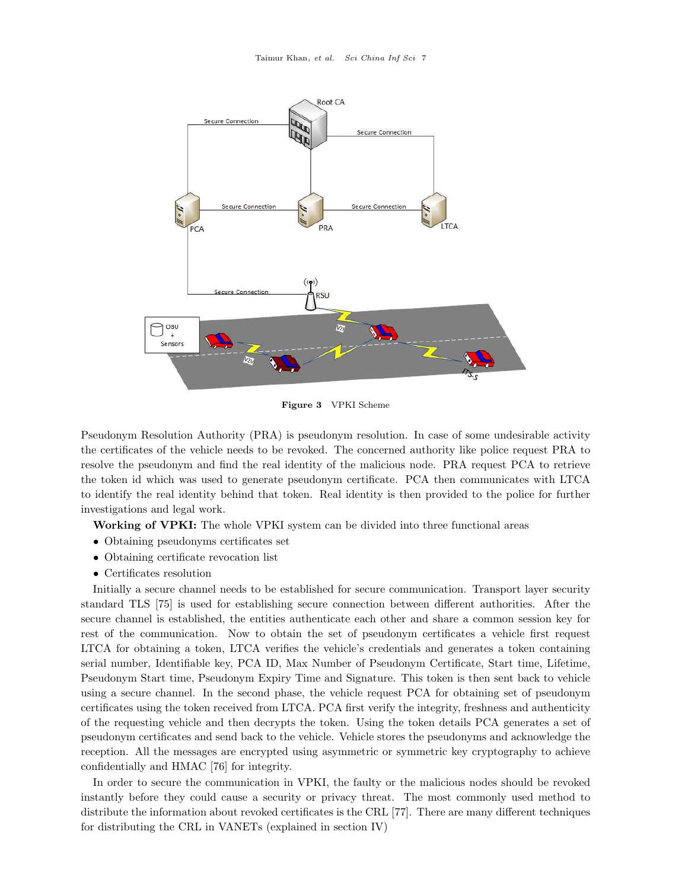<span id="page-7-0"></span>

Figure 3 VPKI Scheme

Pseudonym Resolution Authority (PRA) is pseudonym resolution. In case of some undesirable activity the certificates of the vehicle needs to be revoked. The concerned authority like police request PRA to resolve the pseudonym and find the real identity of the malicious node. PRA request PCA to retrieve the token id which was used to generate pseudonym certificate. PCA then communicates with LTCA to identify the real identity behind that token. Real identity is then provided to the police for further investigations and legal work.

Working of VPKI: The whole VPKI system can be divided into three functional areas

- Obtaining pseudonyms certificates set
- Obtaining certificate revocation list
- Certificates resolution

Initially a secure channel needs to be established for secure communication. Transport layer security standard TLS [\[75\]](#page-17-4) is used for establishing secure connection between different authorities. After the secure channel is established, the entities authenticate each other and share a common session key for rest of the communication. Now to obtain the set of pseudonym certificates a vehicle first request LTCA for obtaining a token, LTCA verifies the vehicle's credentials and generates a token containing serial number, Identifiable key, PCA ID, Max Number of Pseudonym Certificate, Start time, Lifetime, Pseudonym Start time, Pseudonym Expiry Time and Signature. This token is then sent back to vehicle using a secure channel. In the second phase, the vehicle request PCA for obtaining set of pseudonym certificates using the token received from LTCA. PCA first verify the integrity, freshness and authenticity of the requesting vehicle and then decrypts the token. Using the token details PCA generates a set of pseudonym certificates and send back to the vehicle. Vehicle stores the pseudonyms and acknowledge the reception. All the messages are encrypted using asymmetric or symmetric key cryptography to achieve confidentially and HMAC [\[76\]](#page-17-5) for integrity.

In order to secure the communication in VPKI, the faulty or the malicious nodes should be revoked instantly before they could cause a security or privacy threat. The most commonly used method to distribute the information about revoked certificates is the CRL [\[77\]](#page-17-6). There are many different techniques for distributing the CRL in VANETs (explained in section IV)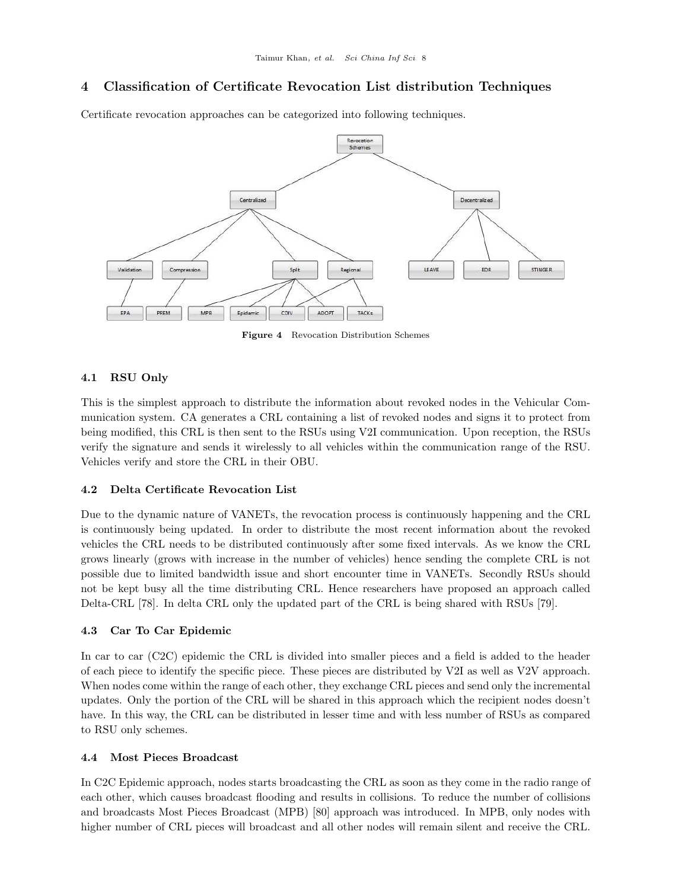# 4 Classification of Certificate Revocation List distribution Techniques

<span id="page-8-0"></span>Certificate revocation approaches can be categorized into following techniques.



Figure 4 Revocation Distribution Schemes

# 4.1 RSU Only

This is the simplest approach to distribute the information about revoked nodes in the Vehicular Communication system. CA generates a CRL containing a list of revoked nodes and signs it to protect from being modified, this CRL is then sent to the RSUs using V2I communication. Upon reception, the RSUs verify the signature and sends it wirelessly to all vehicles within the communication range of the RSU. Vehicles verify and store the CRL in their OBU.

#### 4.2 Delta Certificate Revocation List

Due to the dynamic nature of VANETs, the revocation process is continuously happening and the CRL is continuously being updated. In order to distribute the most recent information about the revoked vehicles the CRL needs to be distributed continuously after some fixed intervals. As we know the CRL grows linearly (grows with increase in the number of vehicles) hence sending the complete CRL is not possible due to limited bandwidth issue and short encounter time in VANETs. Secondly RSUs should not be kept busy all the time distributing CRL. Hence researchers have proposed an approach called Delta-CRL [\[78\]](#page-17-7). In delta CRL only the updated part of the CRL is being shared with RSUs [\[79\]](#page-17-8).

#### 4.3 Car To Car Epidemic

In car to car (C2C) epidemic the CRL is divided into smaller pieces and a field is added to the header of each piece to identify the specific piece. These pieces are distributed by V2I as well as V2V approach. When nodes come within the range of each other, they exchange CRL pieces and send only the incremental updates. Only the portion of the CRL will be shared in this approach which the recipient nodes doesn't have. In this way, the CRL can be distributed in lesser time and with less number of RSUs as compared to RSU only schemes.

#### 4.4 Most Pieces Broadcast

In C2C Epidemic approach, nodes starts broadcasting the CRL as soon as they come in the radio range of each other, which causes broadcast flooding and results in collisions. To reduce the number of collisions and broadcasts Most Pieces Broadcast (MPB) [\[80\]](#page-17-9) approach was introduced. In MPB, only nodes with higher number of CRL pieces will broadcast and all other nodes will remain silent and receive the CRL.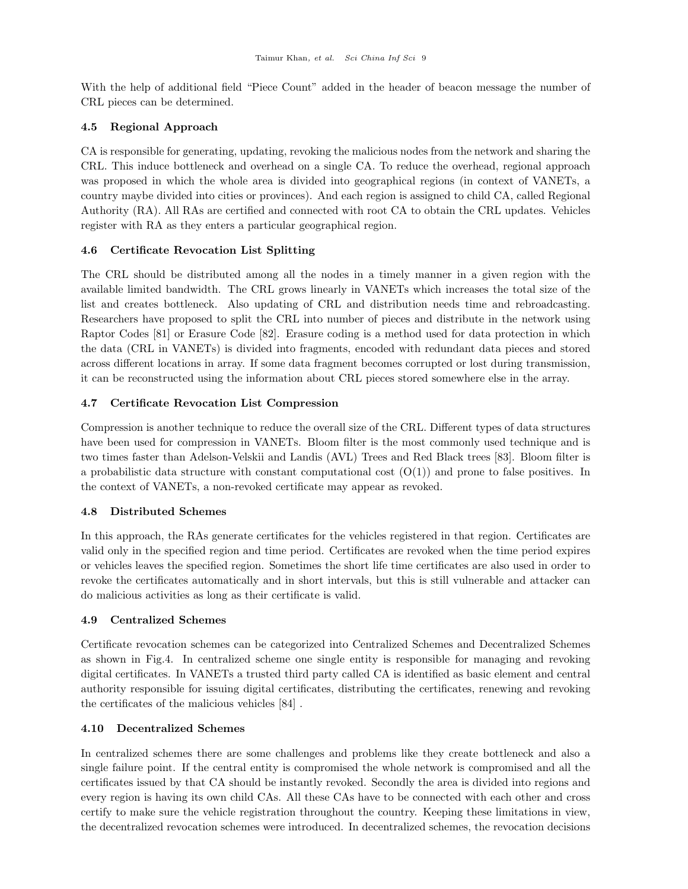With the help of additional field "Piece Count" added in the header of beacon message the number of CRL pieces can be determined.

# 4.5 Regional Approach

CA is responsible for generating, updating, revoking the malicious nodes from the network and sharing the CRL. This induce bottleneck and overhead on a single CA. To reduce the overhead, regional approach was proposed in which the whole area is divided into geographical regions (in context of VANETs, a country maybe divided into cities or provinces). And each region is assigned to child CA, called Regional Authority (RA). All RAs are certified and connected with root CA to obtain the CRL updates. Vehicles register with RA as they enters a particular geographical region.

# 4.6 Certificate Revocation List Splitting

The CRL should be distributed among all the nodes in a timely manner in a given region with the available limited bandwidth. The CRL grows linearly in VANETs which increases the total size of the list and creates bottleneck. Also updating of CRL and distribution needs time and rebroadcasting. Researchers have proposed to split the CRL into number of pieces and distribute in the network using Raptor Codes [\[81\]](#page-17-10) or Erasure Code [\[82\]](#page-17-11). Erasure coding is a method used for data protection in which the data (CRL in VANETs) is divided into fragments, encoded with redundant data pieces and stored across different locations in array. If some data fragment becomes corrupted or lost during transmission, it can be reconstructed using the information about CRL pieces stored somewhere else in the array.

# 4.7 Certificate Revocation List Compression

Compression is another technique to reduce the overall size of the CRL. Different types of data structures have been used for compression in VANETs. Bloom filter is the most commonly used technique and is two times faster than Adelson-Velskii and Landis (AVL) Trees and Red Black trees [\[83\]](#page-17-12). Bloom filter is a probabilistic data structure with constant computational cost  $(O(1))$  and prone to false positives. In the context of VANETs, a non-revoked certificate may appear as revoked.

#### 4.8 Distributed Schemes

In this approach, the RAs generate certificates for the vehicles registered in that region. Certificates are valid only in the specified region and time period. Certificates are revoked when the time period expires or vehicles leaves the specified region. Sometimes the short life time certificates are also used in order to revoke the certificates automatically and in short intervals, but this is still vulnerable and attacker can do malicious activities as long as their certificate is valid.

#### 4.9 Centralized Schemes

Certificate revocation schemes can be categorized into Centralized Schemes and Decentralized Schemes as shown in Fig[.4.](#page-8-0) In centralized scheme one single entity is responsible for managing and revoking digital certificates. In VANETs a trusted third party called CA is identified as basic element and central authority responsible for issuing digital certificates, distributing the certificates, renewing and revoking the certificates of the malicious vehicles [\[84\]](#page-17-13) .

# 4.10 Decentralized Schemes

In centralized schemes there are some challenges and problems like they create bottleneck and also a single failure point. If the central entity is compromised the whole network is compromised and all the certificates issued by that CA should be instantly revoked. Secondly the area is divided into regions and every region is having its own child CAs. All these CAs have to be connected with each other and cross certify to make sure the vehicle registration throughout the country. Keeping these limitations in view, the decentralized revocation schemes were introduced. In decentralized schemes, the revocation decisions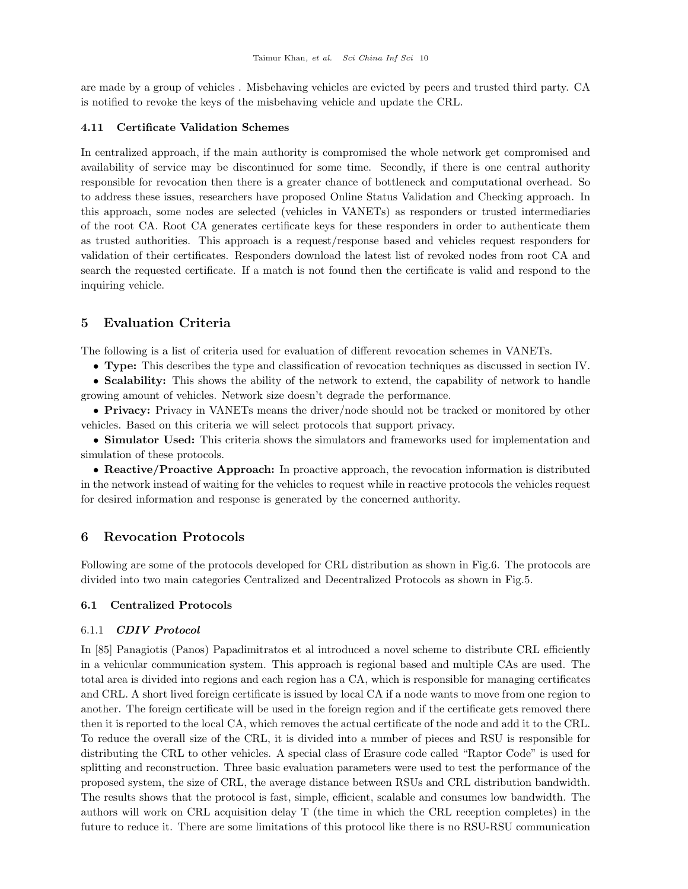are made by a group of vehicles . Misbehaving vehicles are evicted by peers and trusted third party. CA is notified to revoke the keys of the misbehaving vehicle and update the CRL.

#### 4.11 Certificate Validation Schemes

In centralized approach, if the main authority is compromised the whole network get compromised and availability of service may be discontinued for some time. Secondly, if there is one central authority responsible for revocation then there is a greater chance of bottleneck and computational overhead. So to address these issues, researchers have proposed Online Status Validation and Checking approach. In this approach, some nodes are selected (vehicles in VANETs) as responders or trusted intermediaries of the root CA. Root CA generates certificate keys for these responders in order to authenticate them as trusted authorities. This approach is a request/response based and vehicles request responders for validation of their certificates. Responders download the latest list of revoked nodes from root CA and search the requested certificate. If a match is not found then the certificate is valid and respond to the inquiring vehicle.

# 5 Evaluation Criteria

The following is a list of criteria used for evaluation of different revocation schemes in VANETs.

• Type: This describes the type and classification of revocation techniques as discussed in section IV.

• Scalability: This shows the ability of the network to extend, the capability of network to handle growing amount of vehicles. Network size doesn't degrade the performance.

• Privacy: Privacy in VANETs means the driver/node should not be tracked or monitored by other vehicles. Based on this criteria we will select protocols that support privacy.

• Simulator Used: This criteria shows the simulators and frameworks used for implementation and simulation of these protocols.

• Reactive/Proactive Approach: In proactive approach, the revocation information is distributed in the network instead of waiting for the vehicles to request while in reactive protocols the vehicles request for desired information and response is generated by the concerned authority.

# 6 Revocation Protocols

Following are some of the protocols developed for CRL distribution as shown in Fig[.6.](#page-12-0) The protocols are divided into two main categories Centralized and Decentralized Protocols as shown in Fig[.5.](#page-11-0)

#### 6.1 Centralized Protocols

#### 6.1.1 CDIV Protocol

In [\[85\]](#page-17-14) Panagiotis (Panos) Papadimitratos et al introduced a novel scheme to distribute CRL efficiently in a vehicular communication system. This approach is regional based and multiple CAs are used. The total area is divided into regions and each region has a CA, which is responsible for managing certificates and CRL. A short lived foreign certificate is issued by local CA if a node wants to move from one region to another. The foreign certificate will be used in the foreign region and if the certificate gets removed there then it is reported to the local CA, which removes the actual certificate of the node and add it to the CRL. To reduce the overall size of the CRL, it is divided into a number of pieces and RSU is responsible for distributing the CRL to other vehicles. A special class of Erasure code called "Raptor Code" is used for splitting and reconstruction. Three basic evaluation parameters were used to test the performance of the proposed system, the size of CRL, the average distance between RSUs and CRL distribution bandwidth. The results shows that the protocol is fast, simple, efficient, scalable and consumes low bandwidth. The authors will work on CRL acquisition delay T (the time in which the CRL reception completes) in the future to reduce it. There are some limitations of this protocol like there is no RSU-RSU communication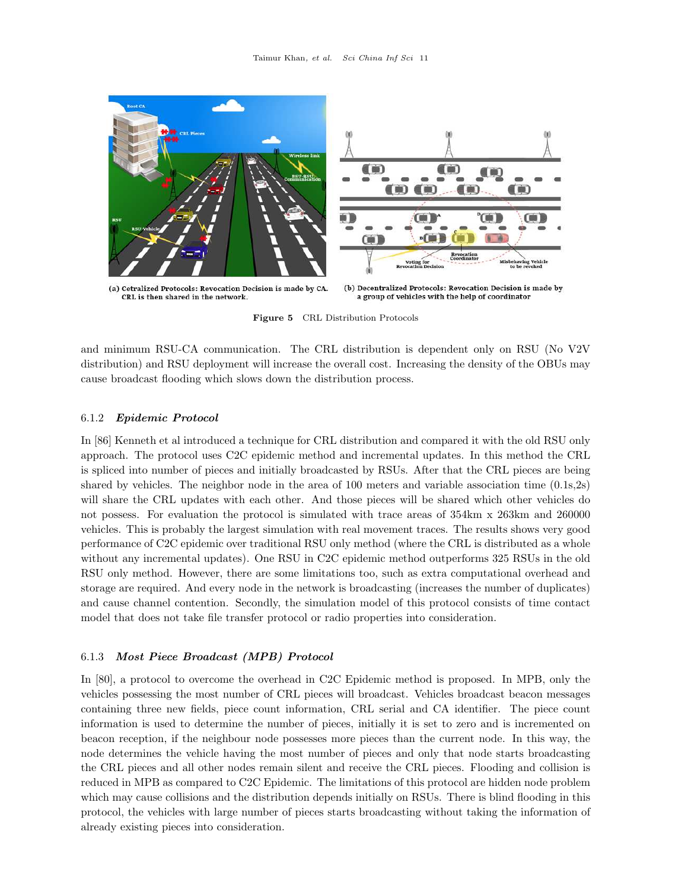<span id="page-11-0"></span>

Figure 5 CRL Distribution Protocols

and minimum RSU-CA communication. The CRL distribution is dependent only on RSU (No V2V distribution) and RSU deployment will increase the overall cost. Increasing the density of the OBUs may cause broadcast flooding which slows down the distribution process.

#### 6.1.2 Epidemic Protocol

In [\[86\]](#page-17-15) Kenneth et al introduced a technique for CRL distribution and compared it with the old RSU only approach. The protocol uses C2C epidemic method and incremental updates. In this method the CRL is spliced into number of pieces and initially broadcasted by RSUs. After that the CRL pieces are being shared by vehicles. The neighbor node in the area of 100 meters and variable association time (0.1s,2s) will share the CRL updates with each other. And those pieces will be shared which other vehicles do not possess. For evaluation the protocol is simulated with trace areas of 354km x 263km and 260000 vehicles. This is probably the largest simulation with real movement traces. The results shows very good performance of C2C epidemic over traditional RSU only method (where the CRL is distributed as a whole without any incremental updates). One RSU in C2C epidemic method outperforms 325 RSUs in the old RSU only method. However, there are some limitations too, such as extra computational overhead and storage are required. And every node in the network is broadcasting (increases the number of duplicates) and cause channel contention. Secondly, the simulation model of this protocol consists of time contact model that does not take file transfer protocol or radio properties into consideration.

#### 6.1.3 Most Piece Broadcast (MPB) Protocol

In [\[80\]](#page-17-9), a protocol to overcome the overhead in C2C Epidemic method is proposed. In MPB, only the vehicles possessing the most number of CRL pieces will broadcast. Vehicles broadcast beacon messages containing three new fields, piece count information, CRL serial and CA identifier. The piece count information is used to determine the number of pieces, initially it is set to zero and is incremented on beacon reception, if the neighbour node possesses more pieces than the current node. In this way, the node determines the vehicle having the most number of pieces and only that node starts broadcasting the CRL pieces and all other nodes remain silent and receive the CRL pieces. Flooding and collision is reduced in MPB as compared to C2C Epidemic. The limitations of this protocol are hidden node problem which may cause collisions and the distribution depends initially on RSUs. There is blind flooding in this protocol, the vehicles with large number of pieces starts broadcasting without taking the information of already existing pieces into consideration.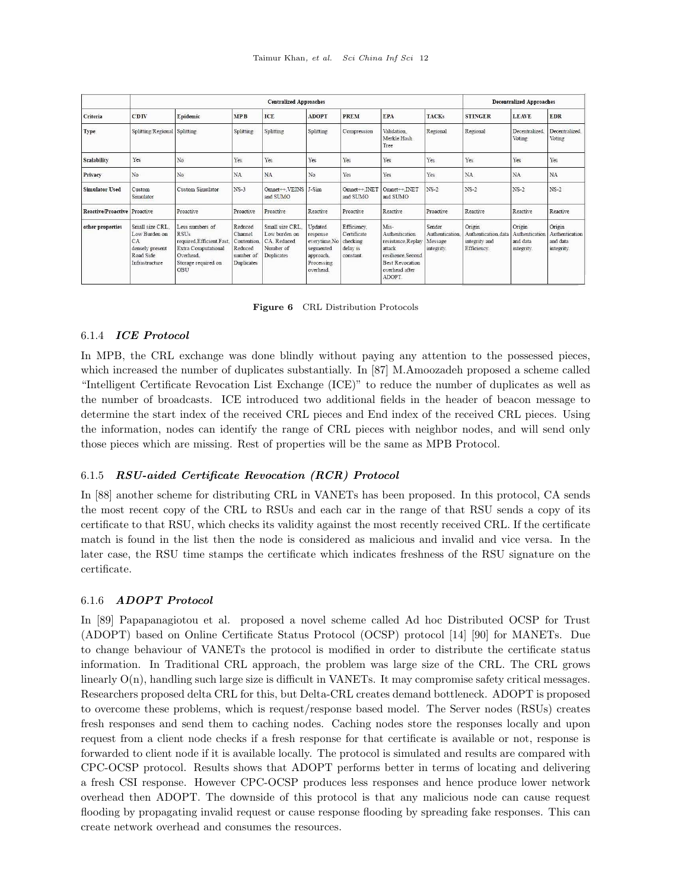<span id="page-12-0"></span>

|                              | <b>Centralized Approaches</b>                                                           |                                                                                                                                    |                                                                         |                                                                            |                                                                                          |                                                                 |                                                                                                                                  |                                                   | <b>Decentralized Approaches</b>                               |                                                    |                                                    |
|------------------------------|-----------------------------------------------------------------------------------------|------------------------------------------------------------------------------------------------------------------------------------|-------------------------------------------------------------------------|----------------------------------------------------------------------------|------------------------------------------------------------------------------------------|-----------------------------------------------------------------|----------------------------------------------------------------------------------------------------------------------------------|---------------------------------------------------|---------------------------------------------------------------|----------------------------------------------------|----------------------------------------------------|
| Criteria                     | CDIV                                                                                    | Epidemic                                                                                                                           | <b>MPB</b>                                                              | ICE                                                                        | <b>ADOPT</b>                                                                             | PREM                                                            | <b>EPA</b>                                                                                                                       | <b>TACKs</b>                                      | <b>STINGER</b>                                                | <b>LEAVE</b>                                       | <b>EDR</b>                                         |
| Type                         | <b>Splitting Regional Splitting</b>                                                     |                                                                                                                                    | Splitting                                                               | Splitting                                                                  | Splitting                                                                                | Compression                                                     | Validation.<br>Merkle Hash<br>Tree                                                                                               | Regional                                          | Regional                                                      | Decentralized<br>Voting                            | Decentralized<br>Voting                            |
| <b>Scalability</b>           | Yes                                                                                     | No                                                                                                                                 | Yes                                                                     | Yes                                                                        | Yes                                                                                      | Yes                                                             | Yes                                                                                                                              | Yes                                               | Yes                                                           | Yes                                                | Yes                                                |
| Privacy                      | No                                                                                      | No                                                                                                                                 | <b>NA</b>                                                               | NA                                                                         | No.                                                                                      | Yes                                                             | Yes                                                                                                                              | Yes                                               | NA                                                            | NA                                                 | NA                                                 |
| <b>Simulator Used</b>        | Custom<br>Simulator                                                                     | Custom Simulator                                                                                                                   | $NS-3$                                                                  | $Omnet \rightarrow VENSS$<br>and SUMO                                      | J-Sim                                                                                    | $Omnet++ INET$<br>and SUMO                                      | $Omnet++ INET$<br>and SUMO                                                                                                       | $NS-2$                                            | $NS-2$                                                        | $NS-2$                                             | $NS-2$                                             |
| Reactive/Proactive Proactive |                                                                                         | Proactive                                                                                                                          | Proactive                                                               | Proactive                                                                  | Reactive                                                                                 | Proactive                                                       | Reactive                                                                                                                         | Proactive                                         | Reactive                                                      | Reactive                                           | Reactive                                           |
| other properties             | Small size CRL<br>Low Burden on<br>CA<br>densely present<br>Road Side<br>Infrastructure | Less numbers of<br><b>RSUs</b><br>required.Efficient.Fast.<br><b>Extra Computational</b><br>Overhead<br>Storage required on<br>OBU | Reduced<br>Channel<br>Contention.<br>Reduced<br>number of<br>Duplicates | Small size CRL.<br>Low burden on<br>CA. Reduced<br>Number of<br>Duplicates | Updated<br>response<br>everytime.No<br>segmented<br>approach.<br>Processing<br>overhead. | Efficiency.<br>Certificate<br>checking<br>delay is<br>constant. | Mis-<br>Authentication<br>resistance.Replay<br>attack<br>resilience Second<br><b>Best Revocation</b><br>overhead after<br>ADOPT. | Sender<br>Authentication<br>Message<br>integrity. | Origin<br>Authentication data<br>integrity and<br>Efficiency. | Origin<br>Authentication<br>and data<br>integrity. | Origin<br>Authentication<br>and data<br>integrity. |

Figure 6 CRL Distribution Protocols

#### 6.1.4 ICE Protocol

In MPB, the CRL exchange was done blindly without paying any attention to the possessed pieces, which increased the number of duplicates substantially. In [\[87\]](#page-17-16) M.Amoozadeh proposed a scheme called "Intelligent Certificate Revocation List Exchange (ICE)" to reduce the number of duplicates as well as the number of broadcasts. ICE introduced two additional fields in the header of beacon message to determine the start index of the received CRL pieces and End index of the received CRL pieces. Using the information, nodes can identify the range of CRL pieces with neighbor nodes, and will send only those pieces which are missing. Rest of properties will be the same as MPB Protocol.

#### 6.1.5 RSU-aided Certificate Revocation (RCR) Protocol

In [\[88\]](#page-17-17) another scheme for distributing CRL in VANETs has been proposed. In this protocol, CA sends the most recent copy of the CRL to RSUs and each car in the range of that RSU sends a copy of its certificate to that RSU, which checks its validity against the most recently received CRL. If the certificate match is found in the list then the node is considered as malicious and invalid and vice versa. In the later case, the RSU time stamps the certificate which indicates freshness of the RSU signature on the certificate.

#### 6.1.6 ADOPT Protocol

In [\[89\]](#page-17-18) Papapanagiotou et al. proposed a novel scheme called Ad hoc Distributed OCSP for Trust (ADOPT) based on Online Certificate Status Protocol (OCSP) protocol [\[14\]](#page-15-12) [\[90\]](#page-17-19) for MANETs. Due to change behaviour of VANETs the protocol is modified in order to distribute the certificate status information. In Traditional CRL approach, the problem was large size of the CRL. The CRL grows linearly  $O(n)$ , handling such large size is difficult in VANETs. It may compromise safety critical messages. Researchers proposed delta CRL for this, but Delta-CRL creates demand bottleneck. ADOPT is proposed to overcome these problems, which is request/response based model. The Server nodes (RSUs) creates fresh responses and send them to caching nodes. Caching nodes store the responses locally and upon request from a client node checks if a fresh response for that certificate is available or not, response is forwarded to client node if it is available locally. The protocol is simulated and results are compared with CPC-OCSP protocol. Results shows that ADOPT performs better in terms of locating and delivering a fresh CSI response. However CPC-OCSP produces less responses and hence produce lower network overhead then ADOPT. The downside of this protocol is that any malicious node can cause request flooding by propagating invalid request or cause response flooding by spreading fake responses. This can create network overhead and consumes the resources.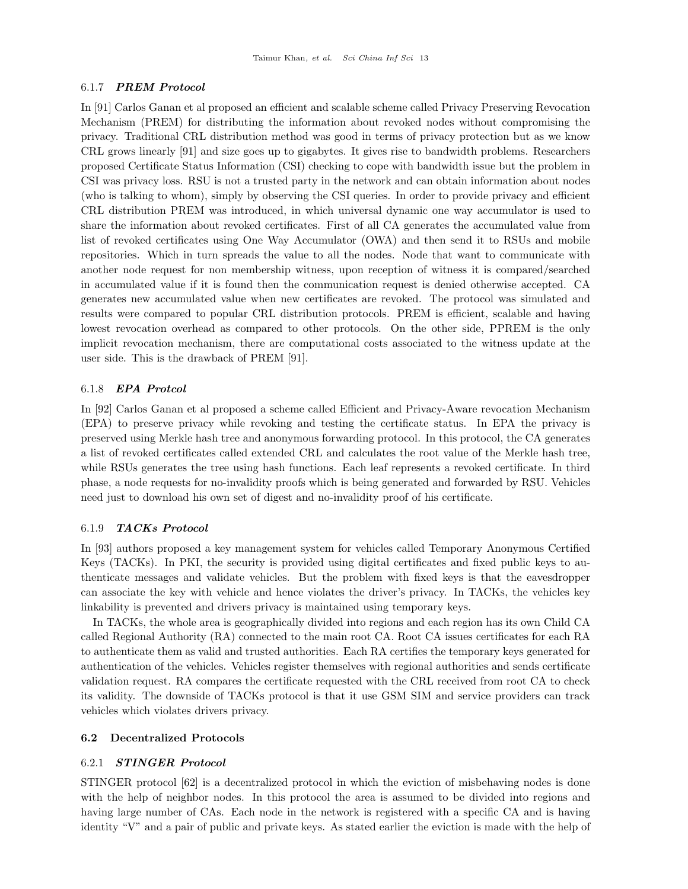#### 6.1.7 PREM Protocol

In [\[91\]](#page-17-20) Carlos Ganan et al proposed an efficient and scalable scheme called Privacy Preserving Revocation Mechanism (PREM) for distributing the information about revoked nodes without compromising the privacy. Traditional CRL distribution method was good in terms of privacy protection but as we know CRL grows linearly [\[91\]](#page-17-20) and size goes up to gigabytes. It gives rise to bandwidth problems. Researchers proposed Certificate Status Information (CSI) checking to cope with bandwidth issue but the problem in CSI was privacy loss. RSU is not a trusted party in the network and can obtain information about nodes (who is talking to whom), simply by observing the CSI queries. In order to provide privacy and efficient CRL distribution PREM was introduced, in which universal dynamic one way accumulator is used to share the information about revoked certificates. First of all CA generates the accumulated value from list of revoked certificates using One Way Accumulator (OWA) and then send it to RSUs and mobile repositories. Which in turn spreads the value to all the nodes. Node that want to communicate with another node request for non membership witness, upon reception of witness it is compared/searched in accumulated value if it is found then the communication request is denied otherwise accepted. CA generates new accumulated value when new certificates are revoked. The protocol was simulated and results were compared to popular CRL distribution protocols. PREM is efficient, scalable and having lowest revocation overhead as compared to other protocols. On the other side, PPREM is the only implicit revocation mechanism, there are computational costs associated to the witness update at the user side. This is the drawback of PREM [\[91\]](#page-17-20).

#### 6.1.8 EPA Protcol

In [\[92\]](#page-17-21) Carlos Ganan et al proposed a scheme called Efficient and Privacy-Aware revocation Mechanism (EPA) to preserve privacy while revoking and testing the certificate status. In EPA the privacy is preserved using Merkle hash tree and anonymous forwarding protocol. In this protocol, the CA generates a list of revoked certificates called extended CRL and calculates the root value of the Merkle hash tree, while RSUs generates the tree using hash functions. Each leaf represents a revoked certificate. In third phase, a node requests for no-invalidity proofs which is being generated and forwarded by RSU. Vehicles need just to download his own set of digest and no-invalidity proof of his certificate.

#### 6.1.9 TACKs Protocol

In [\[93\]](#page-17-22) authors proposed a key management system for vehicles called Temporary Anonymous Certified Keys (TACKs). In PKI, the security is provided using digital certificates and fixed public keys to authenticate messages and validate vehicles. But the problem with fixed keys is that the eavesdropper can associate the key with vehicle and hence violates the driver's privacy. In TACKs, the vehicles key linkability is prevented and drivers privacy is maintained using temporary keys.

In TACKs, the whole area is geographically divided into regions and each region has its own Child CA called Regional Authority (RA) connected to the main root CA. Root CA issues certificates for each RA to authenticate them as valid and trusted authorities. Each RA certifies the temporary keys generated for authentication of the vehicles. Vehicles register themselves with regional authorities and sends certificate validation request. RA compares the certificate requested with the CRL received from root CA to check its validity. The downside of TACKs protocol is that it use GSM SIM and service providers can track vehicles which violates drivers privacy.

#### 6.2 Decentralized Protocols

#### 6.2.1 STINGER Protocol

STINGER protocol [\[62\]](#page-16-25) is a decentralized protocol in which the eviction of misbehaving nodes is done with the help of neighbor nodes. In this protocol the area is assumed to be divided into regions and having large number of CAs. Each node in the network is registered with a specific CA and is having identity "V" and a pair of public and private keys. As stated earlier the eviction is made with the help of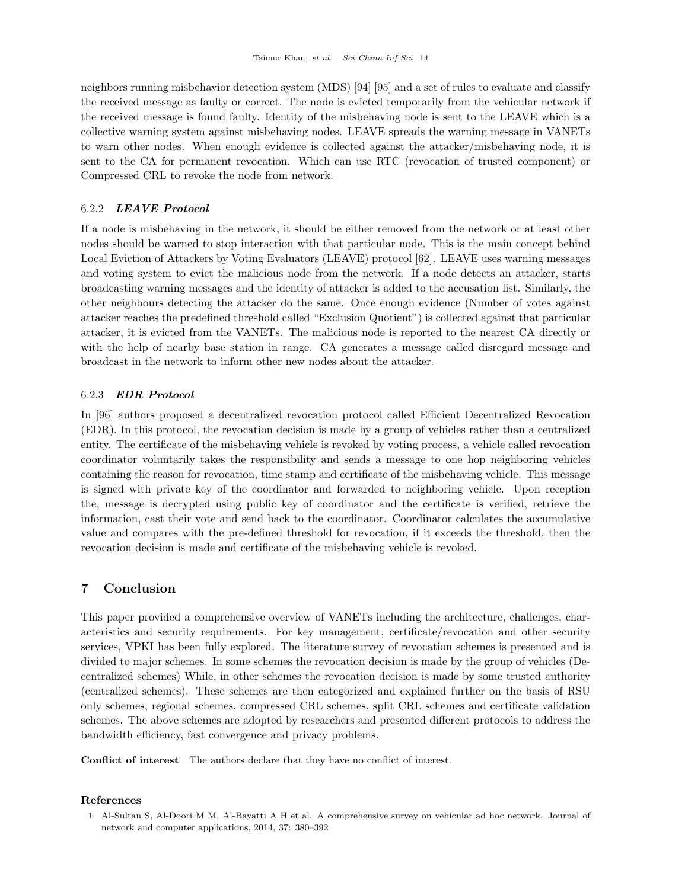neighbors running misbehavior detection system (MDS) [\[94\]](#page-17-23) [\[95\]](#page-17-24) and a set of rules to evaluate and classify the received message as faulty or correct. The node is evicted temporarily from the vehicular network if the received message is found faulty. Identity of the misbehaving node is sent to the LEAVE which is a collective warning system against misbehaving nodes. LEAVE spreads the warning message in VANETs to warn other nodes. When enough evidence is collected against the attacker/misbehaving node, it is sent to the CA for permanent revocation. Which can use RTC (revocation of trusted component) or Compressed CRL to revoke the node from network.

# 6.2.2 LEAVE Protocol

If a node is misbehaving in the network, it should be either removed from the network or at least other nodes should be warned to stop interaction with that particular node. This is the main concept behind Local Eviction of Attackers by Voting Evaluators (LEAVE) protocol [\[62\]](#page-16-25). LEAVE uses warning messages and voting system to evict the malicious node from the network. If a node detects an attacker, starts broadcasting warning messages and the identity of attacker is added to the accusation list. Similarly, the other neighbours detecting the attacker do the same. Once enough evidence (Number of votes against attacker reaches the predefined threshold called "Exclusion Quotient") is collected against that particular attacker, it is evicted from the VANETs. The malicious node is reported to the nearest CA directly or with the help of nearby base station in range. CA generates a message called disregard message and broadcast in the network to inform other new nodes about the attacker.

# 6.2.3 EDR Protocol

In [\[96\]](#page-17-25) authors proposed a decentralized revocation protocol called Efficient Decentralized Revocation (EDR). In this protocol, the revocation decision is made by a group of vehicles rather than a centralized entity. The certificate of the misbehaving vehicle is revoked by voting process, a vehicle called revocation coordinator voluntarily takes the responsibility and sends a message to one hop neighboring vehicles containing the reason for revocation, time stamp and certificate of the misbehaving vehicle. This message is signed with private key of the coordinator and forwarded to neighboring vehicle. Upon reception the, message is decrypted using public key of coordinator and the certificate is verified, retrieve the information, cast their vote and send back to the coordinator. Coordinator calculates the accumulative value and compares with the pre-defined threshold for revocation, if it exceeds the threshold, then the revocation decision is made and certificate of the misbehaving vehicle is revoked.

# 7 Conclusion

This paper provided a comprehensive overview of VANETs including the architecture, challenges, characteristics and security requirements. For key management, certificate/revocation and other security services, VPKI has been fully explored. The literature survey of revocation schemes is presented and is divided to major schemes. In some schemes the revocation decision is made by the group of vehicles (Decentralized schemes) While, in other schemes the revocation decision is made by some trusted authority (centralized schemes). These schemes are then categorized and explained further on the basis of RSU only schemes, regional schemes, compressed CRL schemes, split CRL schemes and certificate validation schemes. The above schemes are adopted by researchers and presented different protocols to address the bandwidth efficiency, fast convergence and privacy problems.

Conflict of interest The authors declare that they have no conflict of interest.

#### References

<span id="page-14-0"></span><sup>1</sup> Al-Sultan S, Al-Doori M M, Al-Bayatti A H et al. A comprehensive survey on vehicular ad hoc network. Journal of network and computer applications, 2014, 37: 380–392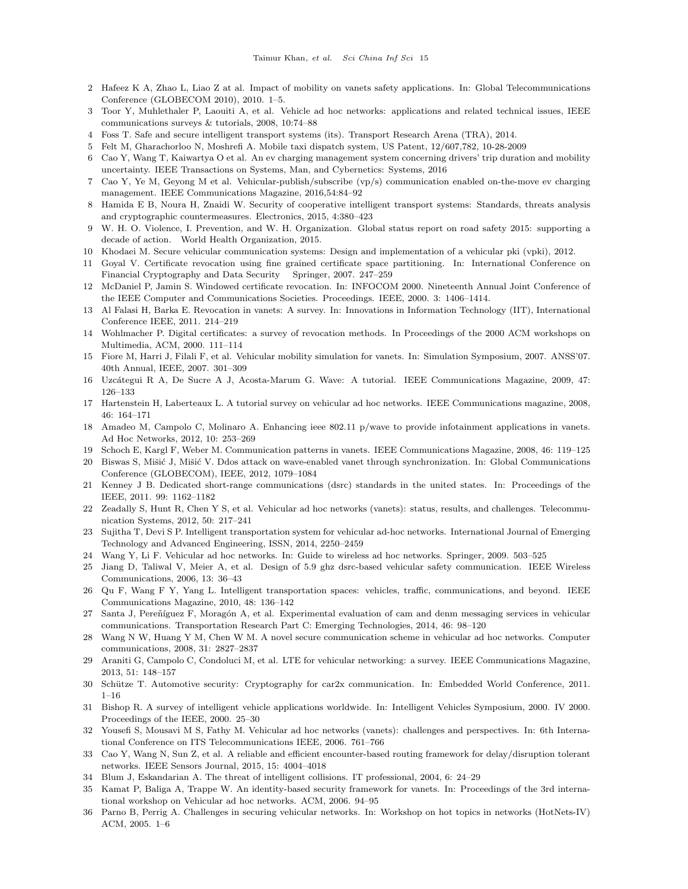- <span id="page-15-0"></span>2 Hafeez K A, Zhao L, Liao Z at al. Impact of mobility on vanets safety applications. In: Global Telecommunications Conference (GLOBECOM 2010), 2010. 1–5.
- <span id="page-15-1"></span>3 Toor Y, Muhlethaler P, Laouiti A, et al. Vehicle ad hoc networks: applications and related technical issues, IEEE communications surveys & tutorials, 2008, 10:74–88
- <span id="page-15-2"></span>4 Foss T. Safe and secure intelligent transport systems (its). Transport Research Arena (TRA), 2014.
- <span id="page-15-3"></span>5 Felt M, Gharachorloo N, Moshrefi A. Mobile taxi dispatch system, US Patent, 12/607,782, 10-28-2009
- <span id="page-15-4"></span>6 Cao Y, Wang T, Kaiwartya O et al. An ev charging management system concerning drivers' trip duration and mobility uncertainty. IEEE Transactions on Systems, Man, and Cybernetics: Systems, 2016
- <span id="page-15-5"></span>7 Cao Y, Ye M, Geyong M et al. Vehicular-publish/subscribe (vp/s) communication enabled on-the-move ev charging management. IEEE Communications Magazine, 2016,54:84–92
- <span id="page-15-6"></span>8 Hamida E B, Noura H, Znaidi W. Security of cooperative intelligent transport systems: Standards, threats analysis and cryptographic countermeasures. Electronics, 2015, 4:380–423
- <span id="page-15-7"></span>9 W. H. O. Violence, I. Prevention, and W. H. Organization. Global status report on road safety 2015: supporting a decade of action. World Health Organization, 2015.
- <span id="page-15-8"></span>10 Khodaei M. Secure vehicular communication systems: Design and implementation of a vehicular pki (vpki), 2012.
- <span id="page-15-9"></span>11 Goyal V. Certificate revocation using fine grained certificate space partitioning. In: International Conference on Financial Cryptography and Data Security Springer, 2007. 247–259
- <span id="page-15-10"></span>12 McDaniel P, Jamin S. Windowed certificate revocation. In: INFOCOM 2000. Nineteenth Annual Joint Conference of the IEEE Computer and Communications Societies. Proceedings. IEEE, 2000. 3: 1406–1414.
- <span id="page-15-11"></span>13 Al Falasi H, Barka E. Revocation in vanets: A survey. In: Innovations in Information Technology (IIT), International Conference IEEE, 2011. 214–219
- <span id="page-15-12"></span>14 Wohlmacher P. Digital certificates: a survey of revocation methods. In Proceedings of the 2000 ACM workshops on Multimedia, ACM, 2000. 111–114
- <span id="page-15-13"></span>15 Fiore M, Harri J, Filali F, et al. Vehicular mobility simulation for vanets. In: Simulation Symposium, 2007. ANSS'07. 40th Annual, IEEE, 2007. 301–309
- <span id="page-15-14"></span>16 Uzc´ategui R A, De Sucre A J, Acosta-Marum G. Wave: A tutorial. IEEE Communications Magazine, 2009, 47: 126–133
- <span id="page-15-15"></span>17 Hartenstein H, Laberteaux L. A tutorial survey on vehicular ad hoc networks. IEEE Communications magazine, 2008, 46: 164–171
- <span id="page-15-16"></span>18 Amadeo M, Campolo C, Molinaro A. Enhancing ieee 802.11 p/wave to provide infotainment applications in vanets. Ad Hoc Networks, 2012, 10: 253–269
- <span id="page-15-17"></span>19 Schoch E, Kargl F, Weber M. Communication patterns in vanets. IEEE Communications Magazine, 2008, 46: 119–125
- <span id="page-15-18"></span>20 Biswas S, Mišić J, Mišić V. Ddos attack on wave-enabled vanet through synchronization. In: Global Communications Conference (GLOBECOM), IEEE, 2012, 1079–1084
- <span id="page-15-19"></span>21 Kenney J B. Dedicated short-range communications (dsrc) standards in the united states. In: Proceedings of the IEEE, 2011. 99: 1162–1182
- <span id="page-15-20"></span>22 Zeadally S, Hunt R, Chen Y S, et al. Vehicular ad hoc networks (vanets): status, results, and challenges. Telecommunication Systems, 2012, 50: 217–241
- <span id="page-15-21"></span>23 Sujitha T, Devi S P. Intelligent transportation system for vehicular ad-hoc networks. International Journal of Emerging Technology and Advanced Engineering, ISSN, 2014, 2250–2459
- <span id="page-15-22"></span>24 Wang Y, Li F. Vehicular ad hoc networks. In: Guide to wireless ad hoc networks. Springer, 2009. 503–525
- <span id="page-15-23"></span>25 Jiang D, Taliwal V, Meier A, et al. Design of 5.9 ghz dsrc-based vehicular safety communication. IEEE Wireless Communications, 2006, 13: 36–43
- <span id="page-15-24"></span>26 Qu F, Wang F Y, Yang L. Intelligent transportation spaces: vehicles, traffic, communications, and beyond. IEEE Communications Magazine, 2010, 48: 136–142
- <span id="page-15-25"></span>27 Santa J, Pereñíguez F, Moragón A, et al. Experimental evaluation of cam and denm messaging services in vehicular communications. Transportation Research Part C: Emerging Technologies, 2014, 46: 98–120
- <span id="page-15-26"></span>28 Wang N W, Huang Y M, Chen W M. A novel secure communication scheme in vehicular ad hoc networks. Computer communications, 2008, 31: 2827–2837
- <span id="page-15-27"></span>29 Araniti G, Campolo C, Condoluci M, et al. LTE for vehicular networking: a survey. IEEE Communications Magazine, 2013, 51: 148–157
- <span id="page-15-28"></span>30 Schütze T. Automotive security: Cryptography for car2x communication. In: Embedded World Conference, 2011. 1–16
- <span id="page-15-29"></span>31 Bishop R. A survey of intelligent vehicle applications worldwide. In: Intelligent Vehicles Symposium, 2000. IV 2000. Proceedings of the IEEE, 2000. 25–30
- <span id="page-15-30"></span>32 Yousefi S, Mousavi M S, Fathy M. Vehicular ad hoc networks (vanets): challenges and perspectives. In: 6th International Conference on ITS Telecommunications IEEE, 2006. 761–766
- <span id="page-15-31"></span>33 Cao Y, Wang N, Sun Z, et al. A reliable and efficient encounter-based routing framework for delay/disruption tolerant networks. IEEE Sensors Journal, 2015, 15: 4004–4018
- <span id="page-15-32"></span>34 Blum J, Eskandarian A. The threat of intelligent collisions. IT professional, 2004, 6: 24–29
- <span id="page-15-33"></span>35 Kamat P, Baliga A, Trappe W. An identity-based security framework for vanets. In: Proceedings of the 3rd international workshop on Vehicular ad hoc networks. ACM, 2006. 94–95
- <span id="page-15-34"></span>36 Parno B, Perrig A. Challenges in securing vehicular networks. In: Workshop on hot topics in networks (HotNets-IV) ACM, 2005. 1–6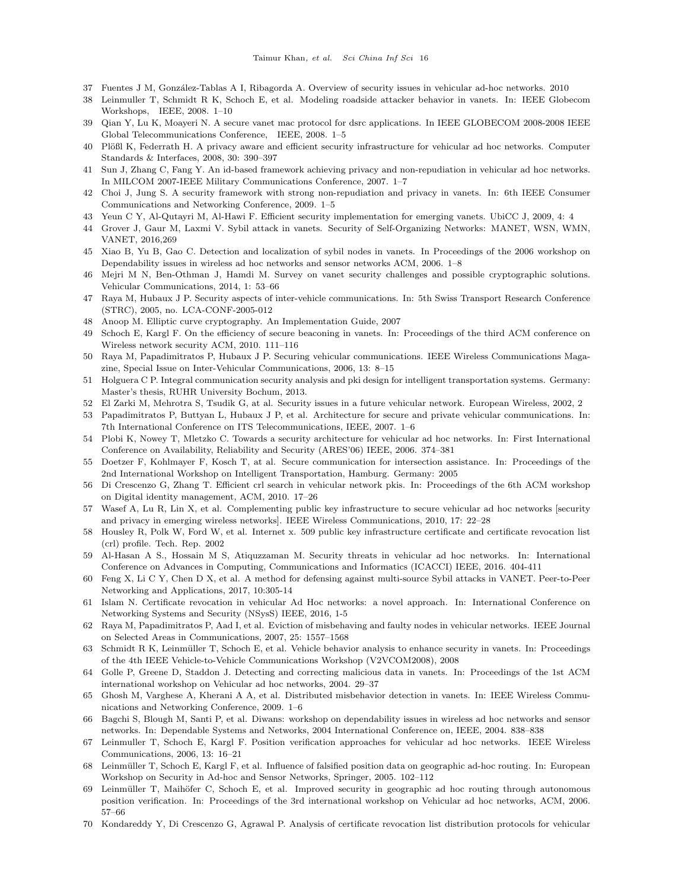- <span id="page-16-0"></span>37 Fuentes J M, González-Tablas A I, Ribagorda A. Overview of security issues in vehicular ad-hoc networks. 2010
- <span id="page-16-1"></span>38 Leinmuller T, Schmidt R K, Schoch E, et al. Modeling roadside attacker behavior in vanets. In: IEEE Globecom Workshops, IEEE, 2008. 1–10
- <span id="page-16-2"></span>39 Qian Y, Lu K, Moayeri N. A secure vanet mac protocol for dsrc applications. In IEEE GLOBECOM 2008-2008 IEEE Global Telecommunications Conference, IEEE, 2008. 1–5
- <span id="page-16-3"></span>40 Plößl K, Federrath H. A privacy aware and efficient security infrastructure for vehicular ad hoc networks. Computer Standards & Interfaces, 2008, 30: 390–397
- <span id="page-16-4"></span>41 Sun J, Zhang C, Fang Y. An id-based framework achieving privacy and non-repudiation in vehicular ad hoc networks. In MILCOM 2007-IEEE Military Communications Conference, 2007. 1–7
- <span id="page-16-5"></span>42 Choi J, Jung S. A security framework with strong non-repudiation and privacy in vanets. In: 6th IEEE Consumer Communications and Networking Conference, 2009. 1–5
- <span id="page-16-6"></span>43 Yeun C Y, Al-Qutayri M, Al-Hawi F. Efficient security implementation for emerging vanets. UbiCC J, 2009, 4: 4
- <span id="page-16-7"></span>44 Grover J, Gaur M, Laxmi V. Sybil attack in vanets. Security of Self-Organizing Networks: MANET, WSN, WMN, VANET, 2016,269
- <span id="page-16-8"></span>45 Xiao B, Yu B, Gao C. Detection and localization of sybil nodes in vanets. In Proceedings of the 2006 workshop on Dependability issues in wireless ad hoc networks and sensor networks ACM, 2006. 1–8
- <span id="page-16-9"></span>46 Mejri M N, Ben-Othman J, Hamdi M. Survey on vanet security challenges and possible cryptographic solutions. Vehicular Communications, 2014, 1: 53–66
- <span id="page-16-10"></span>47 Raya M, Hubaux J P. Security aspects of inter-vehicle communications. In: 5th Swiss Transport Research Conference (STRC), 2005, no. LCA-CONF-2005-012
- <span id="page-16-11"></span>48 Anoop M. Elliptic curve cryptography. An Implementation Guide, 2007
- <span id="page-16-12"></span>49 Schoch E, Kargl F. On the efficiency of secure beaconing in vanets. In: Proceedings of the third ACM conference on Wireless network security ACM, 2010. 111–116
- <span id="page-16-13"></span>50 Raya M, Papadimitratos P, Hubaux J P. Securing vehicular communications. IEEE Wireless Communications Magazine, Special Issue on Inter-Vehicular Communications, 2006, 13: 8–15
- <span id="page-16-14"></span>51 Holguera C P. Integral communication security analysis and pki design for intelligent transportation systems. Germany: Master's thesis, RUHR University Bochum, 2013.
- <span id="page-16-15"></span>52 El Zarki M, Mehrotra S, Tsudik G, at al. Security issues in a future vehicular network. European Wireless, 2002, 2
- <span id="page-16-16"></span>53 Papadimitratos P, Buttyan L, Hubaux J P, et al. Architecture for secure and private vehicular communications. In: 7th International Conference on ITS Telecommunications, IEEE, 2007. 1–6
- <span id="page-16-17"></span>54 Plobi K, Nowey T, Mletzko C. Towards a security architecture for vehicular ad hoc networks. In: First International Conference on Availability, Reliability and Security (ARES'06) IEEE, 2006. 374–381
- <span id="page-16-18"></span>55 Doetzer F, Kohlmayer F, Kosch T, at al. Secure communication for intersection assistance. In: Proceedings of the 2nd International Workshop on Intelligent Transportation, Hamburg. Germany: 2005
- <span id="page-16-19"></span>56 Di Crescenzo G, Zhang T. Efficient crl search in vehicular network pkis. In: Proceedings of the 6th ACM workshop on Digital identity management, ACM, 2010. 17–26
- <span id="page-16-20"></span>57 Wasef A, Lu R, Lin X, et al. Complementing public key infrastructure to secure vehicular ad hoc networks [security and privacy in emerging wireless networks]. IEEE Wireless Communications, 2010, 17: 22–28
- <span id="page-16-21"></span>58 Housley R, Polk W, Ford W, et al. Internet x. 509 public key infrastructure certificate and certificate revocation list (crl) profile. Tech. Rep. 2002
- <span id="page-16-22"></span>59 Al-Hasan A S., Hossain M S, Atiquzzaman M. Security threats in vehicular ad hoc networks. In: International Conference on Advances in Computing, Communications and Informatics (ICACCI) IEEE, 2016. 404-411
- <span id="page-16-23"></span>60 Feng X, Li C Y, Chen D X, et al. A method for defensing against multi-source Sybil attacks in VANET. Peer-to-Peer Networking and Applications, 2017, 10:305-14
- <span id="page-16-24"></span>61 Islam N. Certificate revocation in vehicular Ad Hoc networks: a novel approach. In: International Conference on Networking Systems and Security (NSysS) IEEE, 2016, 1-5
- <span id="page-16-25"></span>62 Raya M, Papadimitratos P, Aad I, et al. Eviction of misbehaving and faulty nodes in vehicular networks. IEEE Journal on Selected Areas in Communications, 2007, 25: 1557–1568
- <span id="page-16-26"></span>63 Schmidt R K, Leinmüller T, Schoch E, et al. Vehicle behavior analysis to enhance security in vanets. In: Proceedings of the 4th IEEE Vehicle-to-Vehicle Communications Workshop (V2VCOM2008), 2008
- <span id="page-16-27"></span>64 Golle P, Greene D, Staddon J. Detecting and correcting malicious data in vanets. In: Proceedings of the 1st ACM international workshop on Vehicular ad hoc networks, 2004. 29–37
- <span id="page-16-28"></span>65 Ghosh M, Varghese A, Kherani A A, et al. Distributed misbehavior detection in vanets. In: IEEE Wireless Communications and Networking Conference, 2009. 1–6
- <span id="page-16-29"></span>66 Bagchi S, Blough M, Santi P, et al. Diwans: workshop on dependability issues in wireless ad hoc networks and sensor networks. In: Dependable Systems and Networks, 2004 International Conference on, IEEE, 2004. 838–838
- <span id="page-16-30"></span>67 Leinmuller T, Schoch E, Kargl F. Position verification approaches for vehicular ad hoc networks. IEEE Wireless Communications, 2006, 13: 16–21
- <span id="page-16-31"></span>68 Leinmüller T, Schoch E, Kargl F, et al. Influence of falsified position data on geographic ad-hoc routing. In: European Workshop on Security in Ad-hoc and Sensor Networks, Springer, 2005. 102–112
- <span id="page-16-32"></span>69 Leinmüller T, Maihöfer C, Schoch E, et al. Improved security in geographic ad hoc routing through autonomous position verification. In: Proceedings of the 3rd international workshop on Vehicular ad hoc networks, ACM, 2006. 57–66
- <span id="page-16-33"></span>70 Kondareddy Y, Di Crescenzo G, Agrawal P. Analysis of certificate revocation list distribution protocols for vehicular